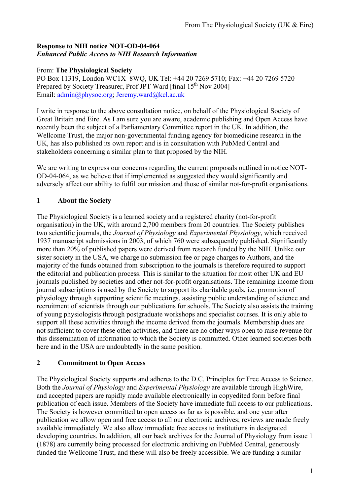### **Response to NIH notice NOT-OD-04-064**  *Enhanced Public Access to NIH Research Information*

### From: **The Physiological Society**

PO Box 11319, London WC1X 8WQ, UK Tel: +44 20 7269 5710; Fax: +44 20 7269 5720 Prepared by Society Treasurer, Prof JPT Ward [final 15<sup>th</sup> Nov 2004] Email: [admin@physoc.org](mailto:admin@physoc.org); [Jeremy.ward@kcl.ac.uk](mailto:Jeremy.ward@kcl.ac.uk)

I write in response to the above consultation notice, on behalf of the Physiological Society of Great Britain and Eire. As I am sure you are aware, academic publishing and Open Access have recently been the subject of a Parliamentary Committee report in the UK. In addition, the Wellcome Trust, the major non-governmental funding agency for biomedicine research in the UK, has also published its own report and is in consultation with PubMed Central and stakeholders concerning a similar plan to that proposed by the NIH.

We are writing to express our concerns regarding the current proposals outlined in notice NOT-OD-04-064, as we believe that if implemented as suggested they would significantly and adversely affect our ability to fulfil our mission and those of similar not-for-profit organisations.

## **1 About the Society**

The Physiological Society is a learned society and a registered charity (not-for-profit organisation) in the UK, with around 2,700 members from 20 countries. The Society publishes two scientific journals, the *Journal of Physiology* and *Experimental Physiology*, which received 1937 manuscript submissions in 2003, of which 760 were subsequently published. Significantly more than 20% of published papers were derived from research funded by the NIH. Unlike our sister society in the USA, we charge no submission fee or page charges to Authors, and the majority of the funds obtained from subscription to the journals is therefore required to support the editorial and publication process. This is similar to the situation for most other UK and EU journals published by societies and other not-for-profit organisations. The remaining income from journal subscriptions is used by the Society to support its charitable goals, i.e. promotion of physiology through supporting scientific meetings, assisting public understanding of science and recruitment of scientists through our publications for schools. The Society also assists the training of young physiologists through postgraduate workshops and specialist courses. It is only able to support all these activities through the income derived from the journals. Membership dues are not sufficient to cover these other activities, and there are no other ways open to raise revenue for this dissemination of information to which the Society is committed. Other learned societies both here and in the USA are undoubtedly in the same position.

#### **2 Commitment to Open Access**

The Physiological Society supports and adheres to the D.C. Principles for Free Access to Science. Both the *Journal of Physiology* and *Experimental Physiology* are available through HighWire, and accepted papers are rapidly made available electronically in copyedited form before final publication of each issue. Members of the Society have immediate full access to our publications. The Society is however committed to open access as far as is possible, and one year after publication we allow open and free access to all our electronic archives; reviews are made freely available immediately. We also allow immediate free access to institutions in designated developing countries. In addition, all our back archives for the Journal of Physiology from issue 1 (1878) are currently being processed for electronic archiving on PubMed Central, generously funded the Wellcome Trust, and these will also be freely accessible. We are funding a similar